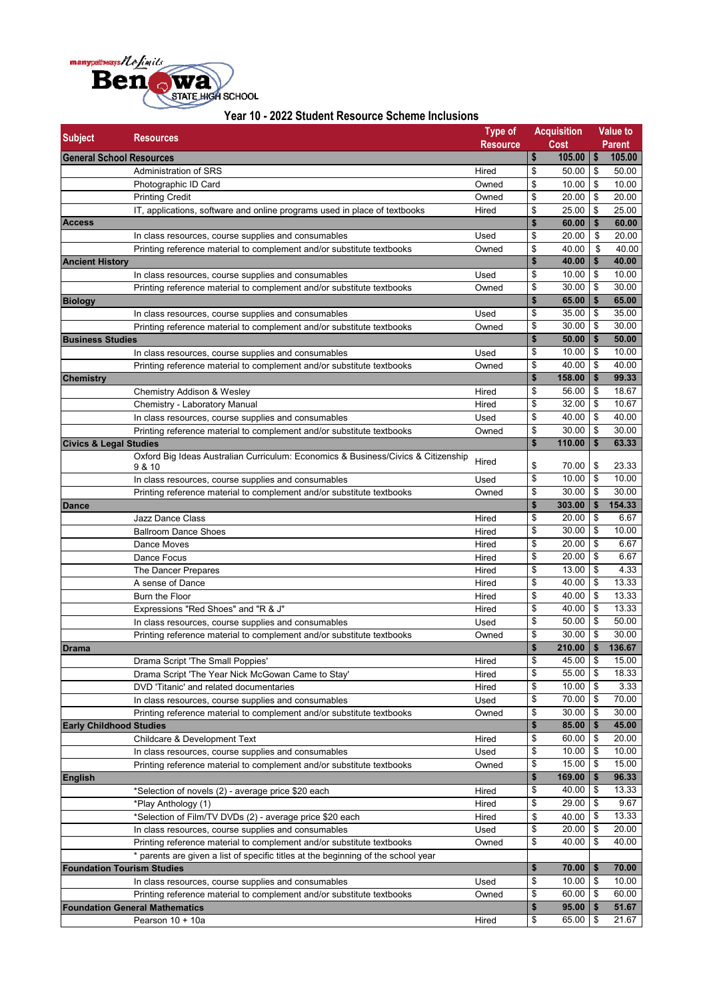

| <b>Subject</b>                    | <b>Resources</b>                                                                  | <b>Type of</b>  | <b>Acquisition</b> |                          | <b>Value to</b> |
|-----------------------------------|-----------------------------------------------------------------------------------|-----------------|--------------------|--------------------------|-----------------|
|                                   |                                                                                   | <b>Resource</b> | <b>Cost</b>        |                          | Parent          |
| <b>General School Resources</b>   |                                                                                   |                 | \$<br>105.00       | $\overline{\phantom{a}}$ | 105.00          |
|                                   | Administration of SRS                                                             | Hired           | \$<br>50.00        | \$                       | 50.00           |
|                                   | Photographic ID Card                                                              | Owned           | \$<br>10.00        | \$                       | 10.00           |
|                                   | <b>Printing Credit</b>                                                            | Owned           | \$<br>20.00        | \$                       | 20.00           |
|                                   | IT, applications, software and online programs used in place of textbooks         | Hired           | \$<br>25.00        | \$                       | 25.00           |
| <b>Access</b>                     |                                                                                   |                 | \$<br>60.00        | \$                       | 60.00           |
|                                   | In class resources, course supplies and consumables                               | Used            | \$<br>20.00        | \$                       | 20.00           |
|                                   | Printing reference material to complement and/or substitute textbooks             | Owned           | \$<br>40.00        | \$                       | 40.00           |
| <b>Ancient History</b>            |                                                                                   |                 | \$<br>40.00        | \$                       | 40.00           |
|                                   | In class resources, course supplies and consumables                               | Used            | \$<br>10.00        | \$                       | 10.00           |
|                                   | Printing reference material to complement and/or substitute textbooks             | Owned           | \$<br>30.00        | \$                       | 30.00           |
| <b>Biology</b>                    |                                                                                   |                 | \$<br>65.00        | $\mathsf{I}$             | 65.00           |
|                                   | In class resources, course supplies and consumables                               | Used            | \$<br>35.00        | \$                       | 35.00           |
|                                   | Printing reference material to complement and/or substitute textbooks             | Owned           | \$<br>30.00        | \$                       | 30.00           |
| <b>Business Studies</b>           |                                                                                   |                 | \$<br>50.00        | \$                       | 50.00           |
|                                   | In class resources, course supplies and consumables                               | Used            | \$<br>10.00        | \$                       | 10.00           |
|                                   | Printing reference material to complement and/or substitute textbooks             | Owned           | \$<br>40.00        | \$                       | 40.00           |
| <b>Chemistry</b>                  |                                                                                   |                 | \$<br>158.00       | \$                       | 99.33           |
|                                   | Chemistry Addison & Wesley                                                        | Hired           | \$<br>56.00        | \$                       | 18.67           |
|                                   | Chemistry - Laboratory Manual                                                     | Hired           | \$<br>$32.00$   \$ |                          | 10.67           |
|                                   | In class resources, course supplies and consumables                               | Used            | \$<br>40.00        | \$                       | 40.00           |
|                                   | Printing reference material to complement and/or substitute textbooks             | Owned           | \$<br>30.00        | \$                       | 30.00           |
| <b>Civics &amp; Legal Studies</b> |                                                                                   |                 | \$<br>110.00       | \$                       | 63.33           |
|                                   | Oxford Big Ideas Australian Curriculum: Economics & Business/Civics & Citizenship | Hired           |                    |                          |                 |
|                                   | 9 & 10                                                                            |                 | \$<br>70.00        | \$                       | 23.33           |
|                                   | In class resources, course supplies and consumables                               | Used            | \$<br>10.00        | \$                       | 10.00           |
|                                   | Printing reference material to complement and/or substitute textbooks             | Owned           | \$<br>30.00        | 1\$                      | 30.00           |
| <b>Dance</b>                      |                                                                                   |                 | \$<br>303.00       | \$                       | 154.33          |
|                                   | Jazz Dance Class                                                                  | Hired           | \$<br>20.00        | \$                       | 6.67            |
|                                   | <b>Ballroom Dance Shoes</b>                                                       | Hired           | \$<br>30.00        | \$                       | 10.00           |
|                                   | Dance Moves                                                                       | Hired           | \$<br>20.00        | \$                       | 6.67            |
|                                   | Dance Focus                                                                       | Hired           | \$<br>20.00        | \$                       | 6.67            |
|                                   | The Dancer Prepares                                                               | Hired           | \$<br>13.00        | \$                       | 4.33            |
|                                   | A sense of Dance                                                                  | Hired           | \$<br>40.00        | \$                       | 13.33           |
|                                   | Burn the Floor                                                                    | Hired           | \$<br>40.00        | \$                       | 13.33           |
|                                   | Expressions "Red Shoes" and "R & J"                                               | Hired           | \$<br>40.00        | \$                       | 13.33           |
|                                   | In class resources, course supplies and consumables                               | Used            | \$<br>50.00        | \$                       | 50.00           |
|                                   | Printing reference material to complement and/or substitute textbooks             | Owned           | \$<br>30.00        | \$                       | 30.00           |
| <b>Drama</b>                      |                                                                                   |                 | \$<br>210.00       | \$                       | 136.67          |
|                                   | Drama Script 'The Small Poppies'                                                  | Hired           | \$<br>45.00 \$     |                          | 15.00           |
|                                   | Drama Script 'The Year Nick McGowan Came to Stay'                                 | Hired           | \$<br>$55.00$   \$ |                          | 18.33           |
|                                   | DVD 'Titanic' and related documentaries                                           | Hired           | \$<br>$10.00$   \$ |                          | 3.33            |
|                                   | In class resources, course supplies and consumables                               | Used            | \$<br>70.00 \$     |                          | 70.00           |
|                                   | Printing reference material to complement and/or substitute textbooks             | Owned           | \$<br>$30.00$   \$ |                          | 30.00           |
| <b>Early Childhood Studies</b>    |                                                                                   |                 | \$<br>$85.00$   \$ |                          | 45.00           |
|                                   | Childcare & Development Text                                                      | Hired           | \$<br>60.00 \$     |                          | 20.00           |
|                                   | In class resources, course supplies and consumables                               | Used            | \$<br>10.00        | \$                       | 10.00           |
|                                   | Printing reference material to complement and/or substitute textbooks             | Owned           | \$<br>$15.00$ \$   |                          | 15.00           |
| <b>English</b>                    |                                                                                   |                 | \$<br>169.00       | $\mathsf{I}$             | 96.33           |
|                                   | *Selection of novels (2) - average price \$20 each                                | Hired           | \$<br>$40.00$ \$   |                          | 13.33           |
|                                   | *Play Anthology (1)                                                               | Hired           | \$<br>$29.00$ \$   |                          | 9.67            |
|                                   | *Selection of Film/TV DVDs (2) - average price \$20 each                          | Hired           | \$<br>40.00   \$   |                          | 13.33           |
|                                   | In class resources, course supplies and consumables                               | Used            | \$<br>$20.00$ \$   |                          | 20.00           |
|                                   | Printing reference material to complement and/or substitute textbooks             | Owned           | \$<br>40.00        | \$                       | 40.00           |
|                                   | * parents are given a list of specific titles at the beginning of the school year |                 |                    |                          |                 |
| <b>Foundation Tourism Studies</b> |                                                                                   |                 | \$<br>70.00        | \$                       | 70.00           |
|                                   | In class resources, course supplies and consumables                               | Used            | \$<br>$10.00$   \$ |                          | 10.00           |
|                                   | Printing reference material to complement and/or substitute textbooks             | Owned           | \$<br>60.00        | \$                       | 60.00           |
|                                   | <b>Foundation General Mathematics</b>                                             |                 | \$<br>95.00        | \$                       | 51.67           |
|                                   | Pearson 10 + 10a                                                                  | Hired           | \$<br>$65.00$ \$   |                          | 21.67           |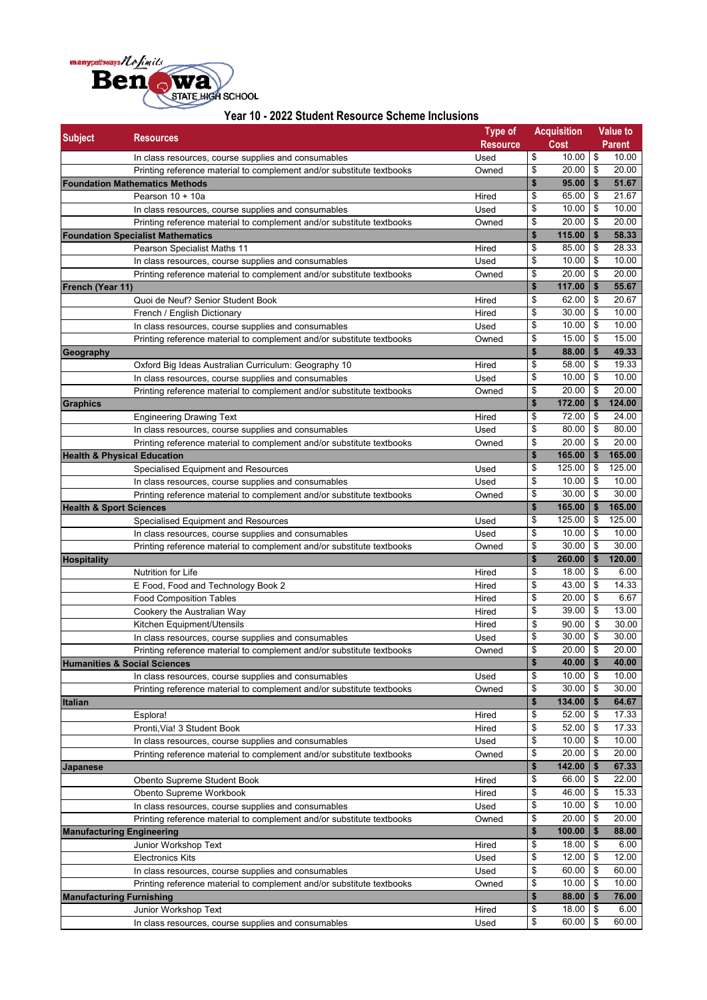

## **Year 10 - 2022 Student Resource Scheme Inclusions**

| <b>Subject</b>                     | <b>Resources</b>                                                                                                             | <b>Type of</b>  |              | <b>Acquisition</b> |                           | Value to       |
|------------------------------------|------------------------------------------------------------------------------------------------------------------------------|-----------------|--------------|--------------------|---------------------------|----------------|
|                                    |                                                                                                                              | <b>Resource</b> |              | Cost               |                           | <b>Parent</b>  |
|                                    | In class resources, course supplies and consumables                                                                          | Used            | \$           | $10.00$ \$         |                           | 10.00          |
|                                    | Printing reference material to complement and/or substitute textbooks                                                        | Owned           | \$           | $20.00$ \$         |                           | 20.00          |
|                                    | <b>Foundation Mathematics Methods</b>                                                                                        |                 | \$<br>\$     | 95.00<br>65.00     | \$<br>\$                  | 51.67<br>21.67 |
|                                    | Pearson 10 + 10a                                                                                                             | Hired<br>Used   | \$           | 10.00              | $\sqrt{3}$                | 10.00          |
|                                    | In class resources, course supplies and consumables<br>Printing reference material to complement and/or substitute textbooks | Owned           | \$           | 20.00              | $\sqrt{3}$                | 20.00          |
|                                    | <b>Foundation Specialist Mathematics</b>                                                                                     |                 | $\mathbf{s}$ | 115.00             | \$                        | 58.33          |
|                                    | Pearson Specialist Maths 11                                                                                                  | Hired           | \$           | 85.00              | $\frac{3}{2}$             | 28.33          |
|                                    | In class resources, course supplies and consumables                                                                          | Used            | \$           | 10.00              | \$                        | 10.00          |
|                                    | Printing reference material to complement and/or substitute textbooks                                                        | Owned           | \$           | 20.00              | \$                        | 20.00          |
| French (Year 11)                   |                                                                                                                              |                 | \$           | 117.00             | \$                        | 55.67          |
|                                    | Quoi de Neuf? Senior Student Book                                                                                            | Hired           | \$           | 62.00              | \$                        | 20.67          |
|                                    | French / English Dictionary                                                                                                  | Hired           | \$           | 30.00              | $\sqrt{3}$                | 10.00          |
|                                    | In class resources, course supplies and consumables                                                                          | Used            | \$           | 10.00              | \$                        | 10.00          |
|                                    | Printing reference material to complement and/or substitute textbooks                                                        | Owned           | \$           | 15.00              | \$                        | 15.00          |
| Geography                          |                                                                                                                              |                 | \$           | 88.00              | \$                        | 49.33          |
|                                    | Oxford Big Ideas Australian Curriculum: Geography 10                                                                         | Hired           | \$           | 58.00              | \$                        | 19.33          |
|                                    | In class resources, course supplies and consumables                                                                          | Used            | \$           | $10.00$ \$         |                           | 10.00          |
|                                    | Printing reference material to complement and/or substitute textbooks                                                        | Owned           | \$           | 20.00              | \$                        | 20.00          |
| <b>Graphics</b>                    |                                                                                                                              |                 | \$           | 172.00             | \$                        | 124.00         |
|                                    | <b>Engineering Drawing Text</b>                                                                                              | Hired           | \$           | 72.00              | \$                        | 24.00          |
|                                    | In class resources, course supplies and consumables                                                                          | Used            | \$           | 80.00              | $\sqrt{3}$                | 80.00          |
|                                    | Printing reference material to complement and/or substitute textbooks                                                        | Owned           | \$           | 20.00              | $\boldsymbol{\mathsf{s}}$ | 20.00          |
|                                    | <b>Health &amp; Physical Education</b>                                                                                       |                 | \$           | 165.00             | \$                        | 165.00         |
|                                    | Specialised Equipment and Resources                                                                                          | Used            | \$           | 125.00             | \$                        | 125.00         |
|                                    | In class resources, course supplies and consumables                                                                          | Used            | \$           | $10.00$ \ \$       |                           | 10.00          |
|                                    | Printing reference material to complement and/or substitute textbooks                                                        | Owned           | \$           | 30.00              | \$                        | 30.00          |
| <b>Health &amp; Sport Sciences</b> |                                                                                                                              |                 | \$           | 165.00             | \$                        | 165.00         |
|                                    | Specialised Equipment and Resources                                                                                          | Used            | \$           | 125.00             | $\frac{3}{2}$             | 125.00         |
|                                    | In class resources, course supplies and consumables                                                                          | Used            | \$           | 10.00              | $\sqrt{3}$                | 10.00          |
|                                    | Printing reference material to complement and/or substitute textbooks                                                        | Owned           | \$           | 30.00              | \$                        | 30.00          |
| <b>Hospitality</b>                 |                                                                                                                              |                 | $\mathbf{s}$ | 260.00             | \$                        | 120.00         |
|                                    | Nutrition for Life                                                                                                           | Hired           | \$           | 18.00              | $\sqrt{3}$                | 6.00           |
|                                    | E Food, Food and Technology Book 2                                                                                           | Hired           | \$           | 43.00              | \$                        | 14.33          |
|                                    | <b>Food Composition Tables</b>                                                                                               | Hired           | \$           | 20.00              | $\sqrt{3}$                | 6.67           |
|                                    | Cookery the Australian Way                                                                                                   | Hired           | \$           | 39.00              | \$                        | 13.00          |
|                                    | Kitchen Equipment/Utensils                                                                                                   | Hired           | \$           | 90.00              | \$                        | 30.00          |
|                                    | In class resources, course supplies and consumables                                                                          | Used            | \$           | 30.00              | \$                        | 30.00          |
|                                    | Printing reference material to complement and/or substitute textbooks                                                        | Owned           | \$           | 20.00              | $\overline{\mathbf{s}}$   | 20.00          |
|                                    | <b>Humanities &amp; Social Sciences</b>                                                                                      |                 | \$           | $40.00$ \ \$       |                           | 40.00          |
|                                    | In class resources, course supplies and consumables                                                                          | Used            | \$           | $10.00$ \\$        |                           | 10.00          |
|                                    | Printing reference material to complement and/or substitute textbooks                                                        | Owned           | \$           | $30.00$ \$         |                           | 30.00          |
| <b>Italian</b>                     |                                                                                                                              |                 | $\mathbf{s}$ | $134.00$   \$      |                           | 64.67          |
|                                    | Esplora!                                                                                                                     | Hired           | \$           | $52.00$ \$         |                           | 17.33          |
|                                    | Pronti, Via! 3 Student Book                                                                                                  | Hired           | \$           | $52.00$ \$         |                           | 17.33          |
|                                    | In class resources, course supplies and consumables                                                                          | Used            | \$           | $10.00$ \$         |                           | 10.00          |
|                                    | Printing reference material to complement and/or substitute textbooks                                                        | Owned           | \$           | 20.00              | \$                        | 20.00          |
| <b>Japanese</b>                    |                                                                                                                              |                 | \$           | 142.00             | \$                        | 67.33          |
|                                    | Obento Supreme Student Book                                                                                                  | Hired           | \$           | 66.00              | \$                        | 22.00          |
|                                    | Obento Supreme Workbook                                                                                                      | Hired           | \$           | $46.00$ \ \$       |                           | 15.33          |
|                                    | In class resources, course supplies and consumables                                                                          | Used            | \$           | $10.00$ \$         |                           | 10.00          |
|                                    | Printing reference material to complement and/or substitute textbooks                                                        | Owned           | \$           | $20.00$ \ \$       |                           | 20.00          |
|                                    | <b>Manufacturing Engineering</b>                                                                                             |                 | \$           | 100.00             | \$                        | 88.00          |
|                                    | Junior Workshop Text                                                                                                         | Hired           | \$           | $18.00$ \$         |                           | 6.00           |
|                                    | <b>Electronics Kits</b>                                                                                                      | Used            | \$           | $12.00$ \$         |                           | 12.00          |
|                                    | In class resources, course supplies and consumables                                                                          | Used            | \$           | 60.00              | $\sqrt{3}$                | 60.00          |
|                                    | Printing reference material to complement and/or substitute textbooks                                                        | Owned           | \$           | $10.00$ \\$        |                           | 10.00          |
| <b>Manufacturing Furnishing</b>    |                                                                                                                              |                 | \$           | $88.00$   \$       |                           | 76.00          |
|                                    | Junior Workshop Text                                                                                                         | Hired           | \$           | $18.00$   \$       |                           | 6.00           |
|                                    | In class resources, course supplies and consumables                                                                          | Used            | \$           | 60.00              | \$                        | 60.00          |